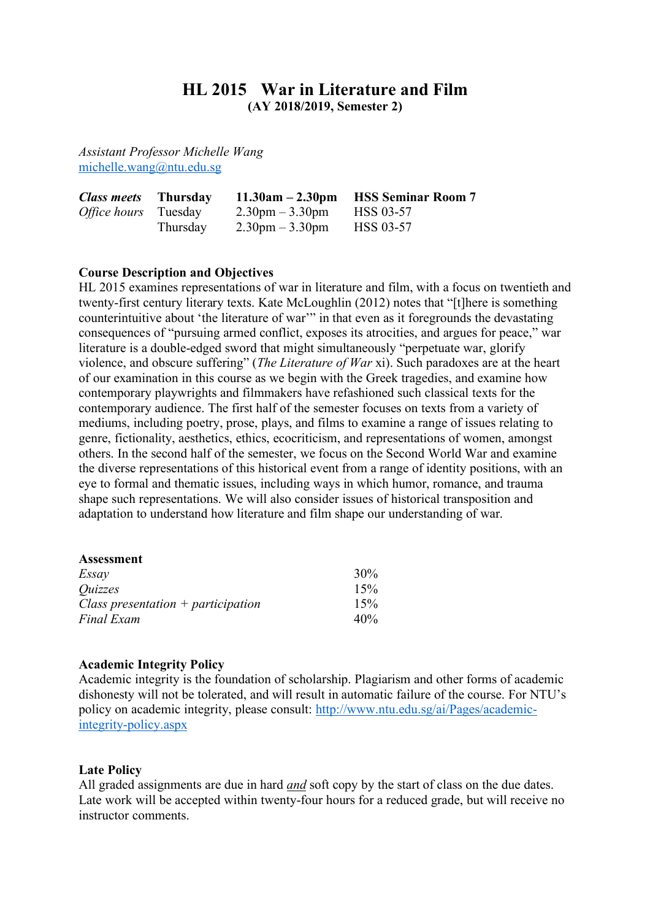# **HL 2015 War in Literature and Film (AY 2018/2019, Semester 2)**

*Assistant Professor Michelle Wang* michelle.wang@ntu.edu.sg

| <i>Class meets</i> Thursday |          |                                   | $11.30am - 2.30pm$ HSS Seminar Room 7 |
|-----------------------------|----------|-----------------------------------|---------------------------------------|
| Office hours Tuesday        |          | $2.30 \text{pm} - 3.30 \text{pm}$ | <b>HSS 03-57</b>                      |
|                             | Thursday | $2.30 \text{pm} - 3.30 \text{pm}$ | HSS 03-57                             |

# **Course Description and Objectives**

HL 2015 examines representations of war in literature and film, with a focus on twentieth and twenty-first century literary texts. Kate McLoughlin (2012) notes that "[t]here is something counterintuitive about 'the literature of war'" in that even as it foregrounds the devastating consequences of "pursuing armed conflict, exposes its atrocities, and argues for peace," war literature is a double-edged sword that might simultaneously "perpetuate war, glorify violence, and obscure suffering" (*The Literature of War* xi). Such paradoxes are at the heart of our examination in this course as we begin with the Greek tragedies, and examine how contemporary playwrights and filmmakers have refashioned such classical texts for the contemporary audience. The first half of the semester focuses on texts from a variety of mediums, including poetry, prose, plays, and films to examine a range of issues relating to genre, fictionality, aesthetics, ethics, ecocriticism, and representations of women, amongst others. In the second half of the semester, we focus on the Second World War and examine the diverse representations of this historical event from a range of identity positions, with an eye to formal and thematic issues, including ways in which humor, romance, and trauma shape such representations. We will also consider issues of historical transposition and adaptation to understand how literature and film shape our understanding of war.

| Assessment                           |     |
|--------------------------------------|-----|
| Essay                                | 30% |
| <i><u>Ouizzes</u></i>                | 15% |
| Class presentation $+$ participation | 15% |
| <b>Final Exam</b>                    | 40% |

## **Academic Integrity Policy**

Academic integrity is the foundation of scholarship. Plagiarism and other forms of academic dishonesty will not be tolerated, and will result in automatic failure of the course. For NTU's policy on academic integrity, please consult: http://www.ntu.edu.sg/ai/Pages/academicintegrity-policy.aspx

#### **Late Policy**

All graded assignments are due in hard *and* soft copy by the start of class on the due dates. Late work will be accepted within twenty-four hours for a reduced grade, but will receive no instructor comments.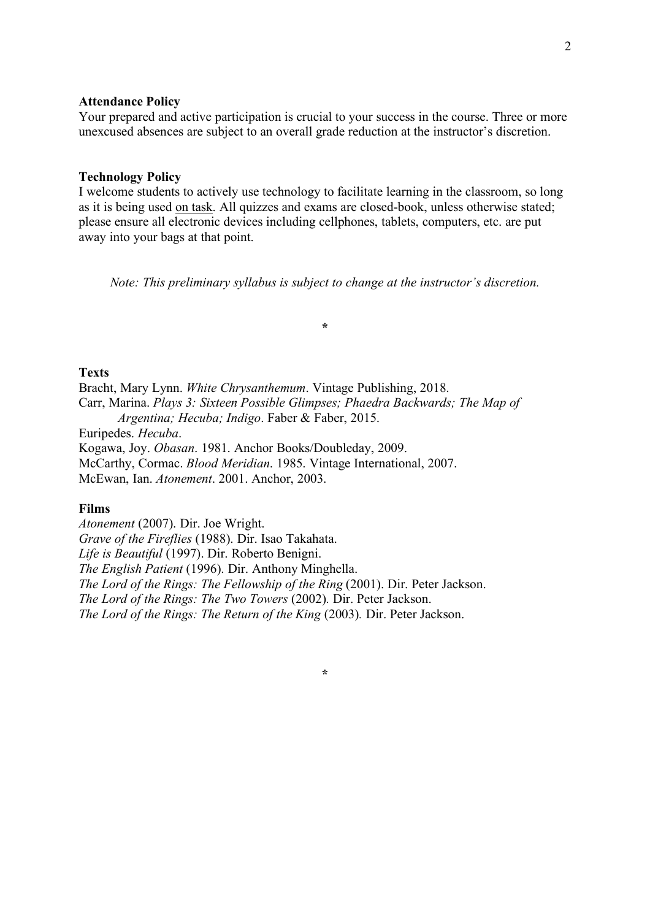### **Attendance Policy**

Your prepared and active participation is crucial to your success in the course. Three or more unexcused absences are subject to an overall grade reduction at the instructor's discretion.

#### **Technology Policy**

I welcome students to actively use technology to facilitate learning in the classroom, so long as it is being used on task. All quizzes and exams are closed-book, unless otherwise stated; please ensure all electronic devices including cellphones, tablets, computers, etc. are put away into your bags at that point.

*Note: This preliminary syllabus is subject to change at the instructor's discretion.*

**\***

### **Texts**

Bracht, Mary Lynn. *White Chrysanthemum*. Vintage Publishing, 2018. Carr, Marina. *Plays 3: Sixteen Possible Glimpses; Phaedra Backwards; The Map of Argentina; Hecuba; Indigo*. Faber & Faber, 2015. Euripedes. *Hecuba*.

Kogawa, Joy. *Obasan*. 1981. Anchor Books/Doubleday, 2009.

McCarthy, Cormac. *Blood Meridian*. 1985. Vintage International, 2007.

McEwan, Ian. *Atonement*. 2001. Anchor, 2003.

#### **Films**

*Atonement* (2007). Dir. Joe Wright. *Grave of the Fireflies* (1988). Dir. Isao Takahata. *Life is Beautiful* (1997). Dir. Roberto Benigni. *The English Patient* (1996). Dir. Anthony Minghella. *The Lord of the Rings: The Fellowship of the Ring* (2001). Dir. Peter Jackson. *The Lord of the Rings: The Two Towers* (2002)*.* Dir. Peter Jackson. *The Lord of the Rings: The Return of the King (2003). Dir. Peter Jackson.* 

**\***

2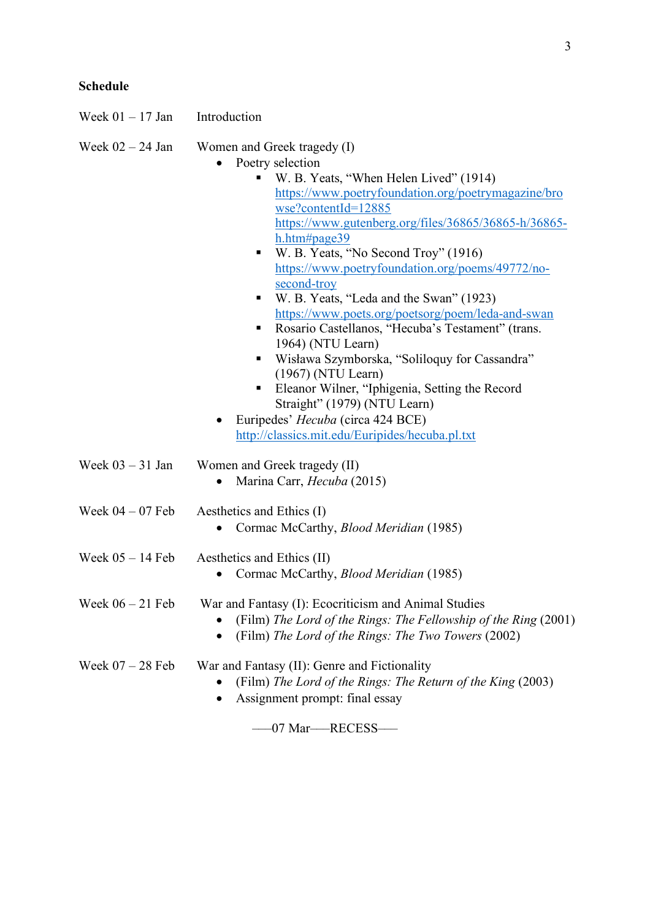| Week $01 - 17$ Jan | Introduction                                                                                                                                                                                                                                                                                                                                                                                                                                                                                                                                                                                                                                                                                                                                                                                            |  |
|--------------------|---------------------------------------------------------------------------------------------------------------------------------------------------------------------------------------------------------------------------------------------------------------------------------------------------------------------------------------------------------------------------------------------------------------------------------------------------------------------------------------------------------------------------------------------------------------------------------------------------------------------------------------------------------------------------------------------------------------------------------------------------------------------------------------------------------|--|
| Week $02 - 24$ Jan | Women and Greek tragedy (I)<br>Poetry selection<br>W. B. Yeats, "When Helen Lived" (1914)<br>https://www.poetryfoundation.org/poetrymagazine/bro<br>wse?contentId=12885<br>https://www.gutenberg.org/files/36865/36865-h/36865-<br>h.htm#page39<br>W. B. Yeats, "No Second Troy" (1916)<br>https://www.poetryfoundation.org/poems/49772/no-<br>second-troy<br>W. B. Yeats, "Leda and the Swan" (1923)<br>https://www.poets.org/poetsorg/poem/leda-and-swan<br>Rosario Castellanos, "Hecuba's Testament" (trans.<br>٠<br>1964) (NTU Learn)<br>Wisława Szymborska, "Soliloquy for Cassandra"<br>п,<br>$(1967)$ (NTU Learn)<br>Eleanor Wilner, "Iphigenia, Setting the Record<br>п<br>Straight" (1979) (NTU Learn)<br>Euripedes' Hecuba (circa 424 BCE)<br>http://classics.mit.edu/Euripides/hecuba.pl.txt |  |
| Week $03 - 31$ Jan | Women and Greek tragedy (II)<br>Marina Carr, Hecuba (2015)<br>$\bullet$                                                                                                                                                                                                                                                                                                                                                                                                                                                                                                                                                                                                                                                                                                                                 |  |
| Week $04 - 07$ Feb | Aesthetics and Ethics (I)<br>Cormac McCarthy, Blood Meridian (1985)                                                                                                                                                                                                                                                                                                                                                                                                                                                                                                                                                                                                                                                                                                                                     |  |
| Week $05 - 14$ Feb | Aesthetics and Ethics (II)<br>Cormac McCarthy, <i>Blood Meridian</i> (1985)                                                                                                                                                                                                                                                                                                                                                                                                                                                                                                                                                                                                                                                                                                                             |  |
| Week $06 - 21$ Feb | War and Fantasy (I): Ecocriticism and Animal Studies<br>(Film) The Lord of the Rings: The Fellowship of the Ring (2001)<br>(Film) The Lord of the Rings: The Two Towers (2002)                                                                                                                                                                                                                                                                                                                                                                                                                                                                                                                                                                                                                          |  |
| Week $07 - 28$ Feb | War and Fantasy (II): Genre and Fictionality<br>(Film) The Lord of the Rings: The Return of the King (2003)<br>Assignment prompt: final essay                                                                                                                                                                                                                                                                                                                                                                                                                                                                                                                                                                                                                                                           |  |
|                    | 07 Mar-RECESS                                                                                                                                                                                                                                                                                                                                                                                                                                                                                                                                                                                                                                                                                                                                                                                           |  |